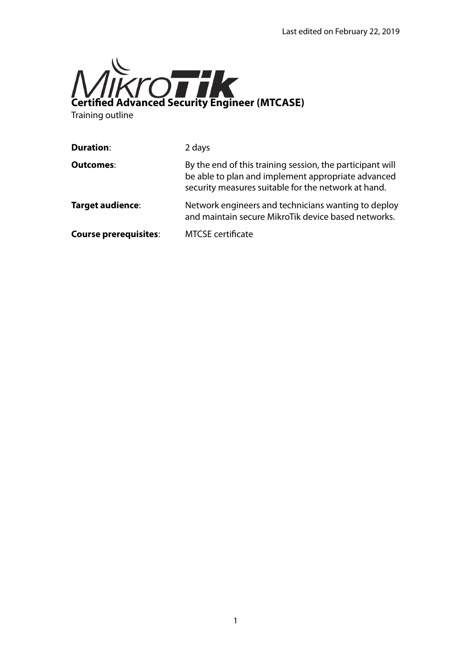

Training outline

| <b>Duration:</b>             | 2 days                                                                                                                                                                 |
|------------------------------|------------------------------------------------------------------------------------------------------------------------------------------------------------------------|
| <b>Outcomes:</b>             | By the end of this training session, the participant will<br>be able to plan and implement appropriate advanced<br>security measures suitable for the network at hand. |
| Target audience:             | Network engineers and technicians wanting to deploy<br>and maintain secure MikroTik device based networks.                                                             |
| <b>Course prerequisites:</b> | <b>MTCSE</b> certificate                                                                                                                                               |